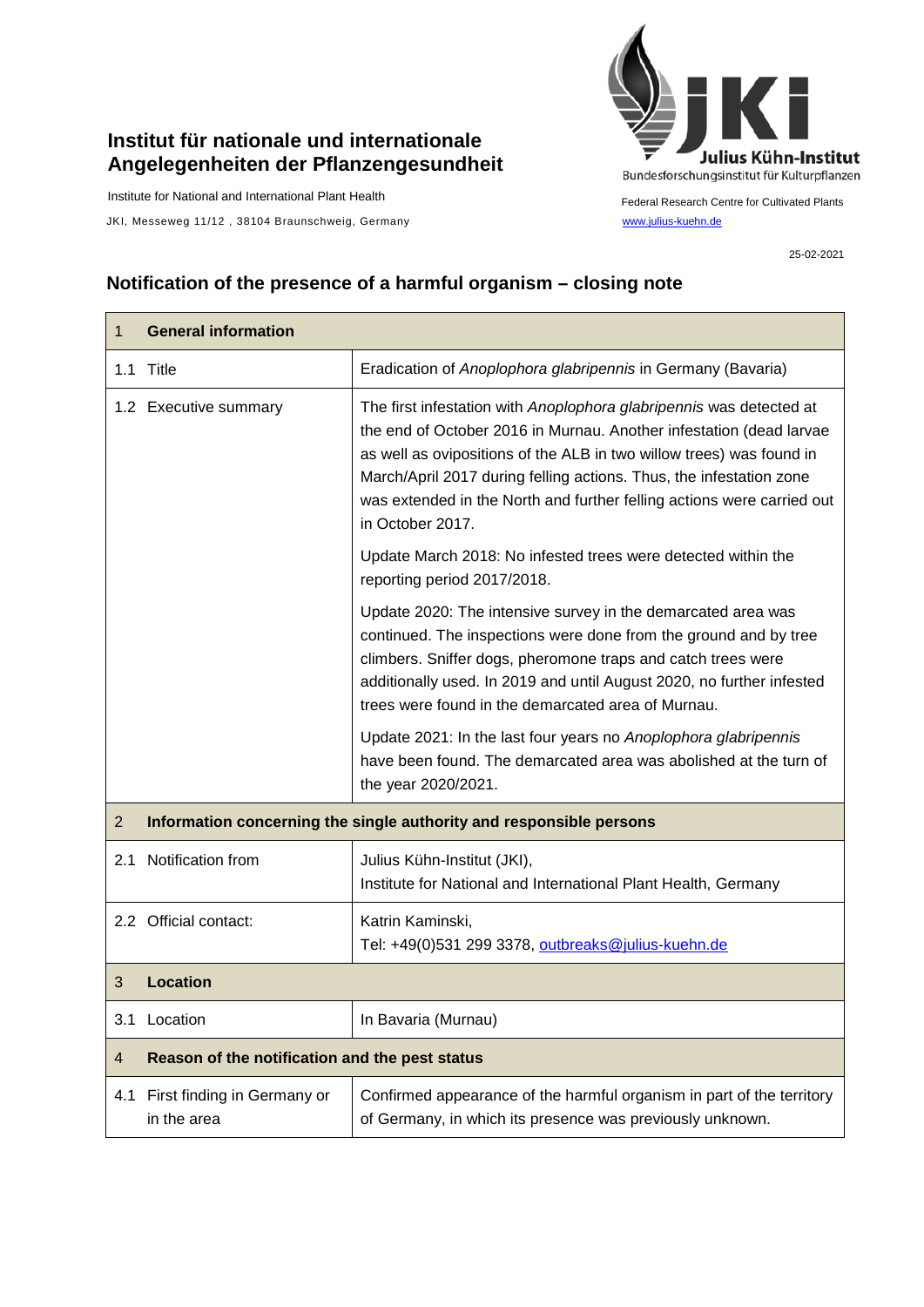## **Institut für nationale und internationale Angelegenheiten der Pflanzengesundheit**

Institute for National and International Plant Health

JKI, Messeweg 11/12, 38104 Braunschweig, Germany [www.julius-kuehn.de](http://www.julius-kuehn.de/)



Federal Research Centre for Cultivated Plants

25-02-2021

## **Notification of the presence of a harmful organism – closing note**

| 1              | <b>General information</b>                                          |                                                                                                                                                                                                                                                                                                                                                                                         |
|----------------|---------------------------------------------------------------------|-----------------------------------------------------------------------------------------------------------------------------------------------------------------------------------------------------------------------------------------------------------------------------------------------------------------------------------------------------------------------------------------|
|                | 1.1 Title                                                           | Eradication of Anoplophora glabripennis in Germany (Bavaria)                                                                                                                                                                                                                                                                                                                            |
|                | 1.2 Executive summary                                               | The first infestation with Anoplophora glabripennis was detected at<br>the end of October 2016 in Murnau. Another infestation (dead larvae<br>as well as ovipositions of the ALB in two willow trees) was found in<br>March/April 2017 during felling actions. Thus, the infestation zone<br>was extended in the North and further felling actions were carried out<br>in October 2017. |
|                |                                                                     | Update March 2018: No infested trees were detected within the<br>reporting period 2017/2018.                                                                                                                                                                                                                                                                                            |
|                |                                                                     | Update 2020: The intensive survey in the demarcated area was<br>continued. The inspections were done from the ground and by tree<br>climbers. Sniffer dogs, pheromone traps and catch trees were<br>additionally used. In 2019 and until August 2020, no further infested<br>trees were found in the demarcated area of Murnau.                                                         |
|                |                                                                     | Update 2021: In the last four years no Anoplophora glabripennis<br>have been found. The demarcated area was abolished at the turn of<br>the year 2020/2021.                                                                                                                                                                                                                             |
| $\overline{2}$ | Information concerning the single authority and responsible persons |                                                                                                                                                                                                                                                                                                                                                                                         |
| 2.1            | Notification from                                                   | Julius Kühn-Institut (JKI),<br>Institute for National and International Plant Health, Germany                                                                                                                                                                                                                                                                                           |
|                | 2.2 Official contact:                                               | Katrin Kaminski,<br>Tel: +49(0)531 299 3378, outbreaks@julius-kuehn.de                                                                                                                                                                                                                                                                                                                  |
| 3              | <b>Location</b>                                                     |                                                                                                                                                                                                                                                                                                                                                                                         |
| 3.1            | Location                                                            | In Bavaria (Murnau)                                                                                                                                                                                                                                                                                                                                                                     |
| $\overline{4}$ | Reason of the notification and the pest status                      |                                                                                                                                                                                                                                                                                                                                                                                         |
| 4.1            | First finding in Germany or<br>in the area                          | Confirmed appearance of the harmful organism in part of the territory<br>of Germany, in which its presence was previously unknown.                                                                                                                                                                                                                                                      |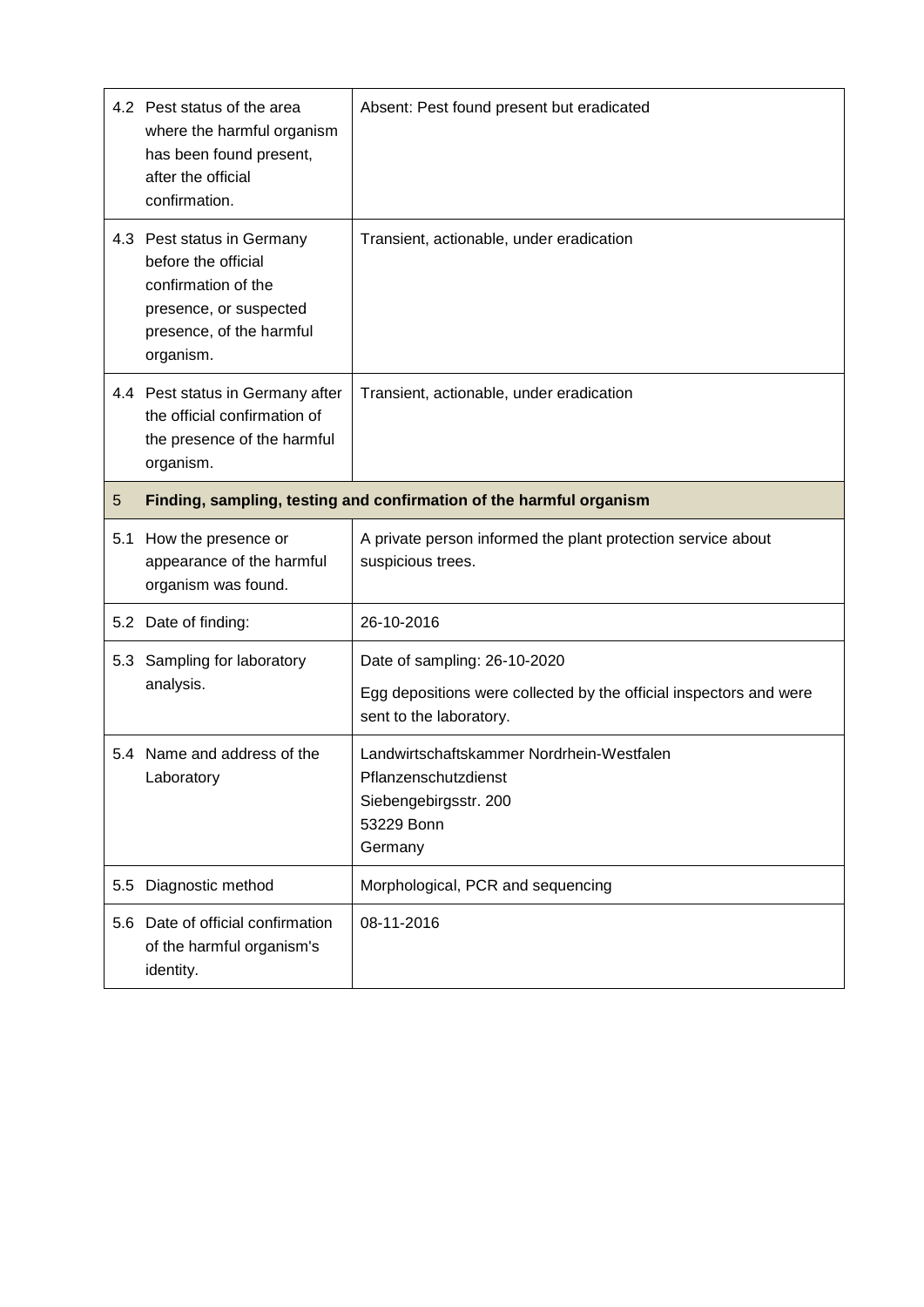|     | 4.2 Pest status of the area<br>where the harmful organism<br>has been found present,<br>after the official<br>confirmation.                 | Absent: Pest found present but eradicated                                                                                     |
|-----|---------------------------------------------------------------------------------------------------------------------------------------------|-------------------------------------------------------------------------------------------------------------------------------|
|     | 4.3 Pest status in Germany<br>before the official<br>confirmation of the<br>presence, or suspected<br>presence, of the harmful<br>organism. | Transient, actionable, under eradication                                                                                      |
|     | 4.4 Pest status in Germany after<br>the official confirmation of<br>the presence of the harmful<br>organism.                                | Transient, actionable, under eradication                                                                                      |
| 5   | Finding, sampling, testing and confirmation of the harmful organism                                                                         |                                                                                                                               |
| 5.1 | How the presence or<br>appearance of the harmful<br>organism was found.                                                                     | A private person informed the plant protection service about<br>suspicious trees.                                             |
|     | 5.2 Date of finding:                                                                                                                        | 26-10-2016                                                                                                                    |
| 5.3 | Sampling for laboratory<br>analysis.                                                                                                        | Date of sampling: 26-10-2020<br>Egg depositions were collected by the official inspectors and were<br>sent to the laboratory. |
|     | 5.4 Name and address of the<br>Laboratory                                                                                                   | Landwirtschaftskammer Nordrhein-Westfalen<br>Pflanzenschutzdienst<br>Siebengebirgsstr. 200<br>53229 Bonn<br>Germany           |
| 5.5 | Diagnostic method                                                                                                                           | Morphological, PCR and sequencing                                                                                             |
|     | 5.6 Date of official confirmation<br>of the harmful organism's<br>identity.                                                                 | 08-11-2016                                                                                                                    |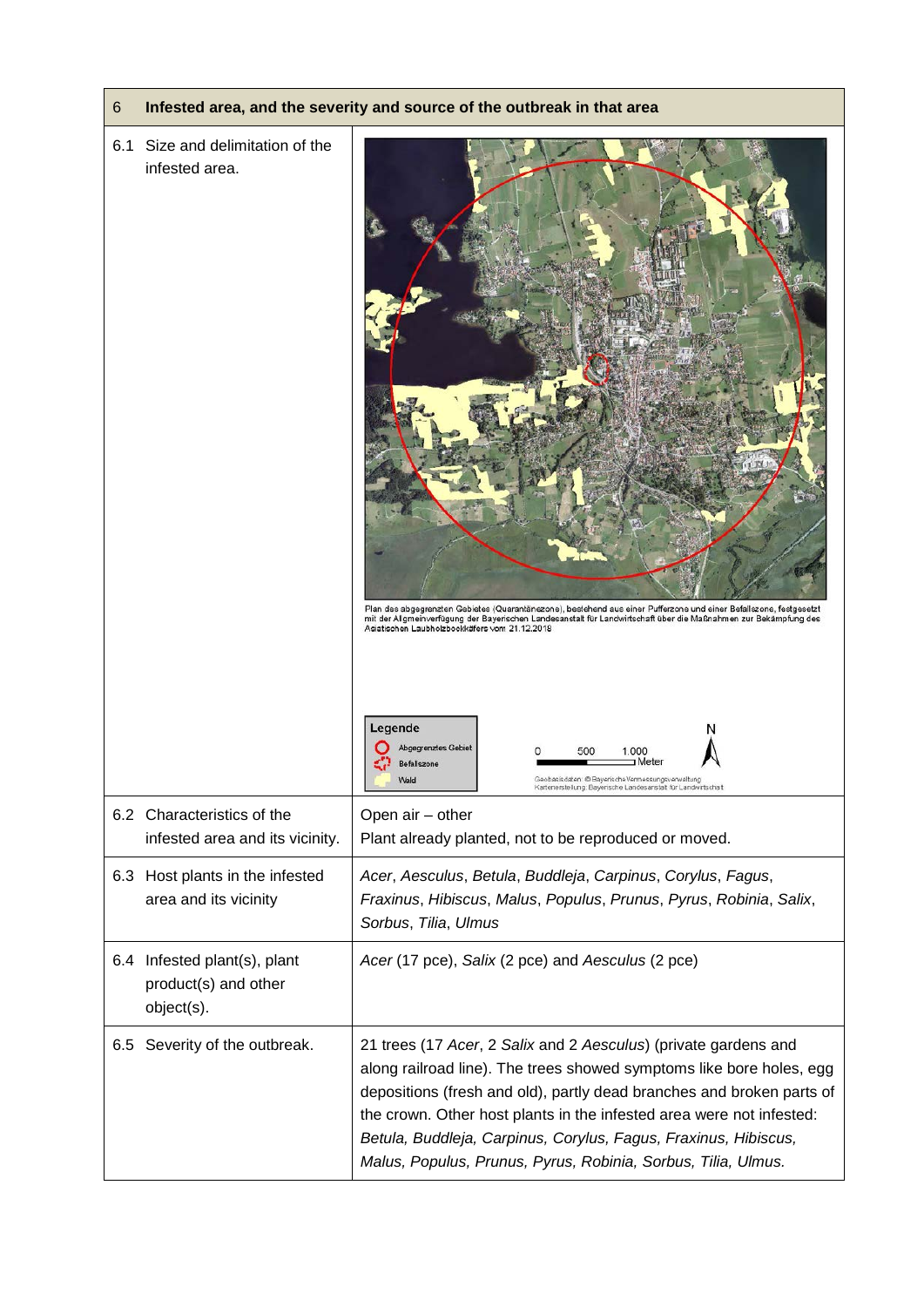| 6   |                                                                    | Infested area, and the severity and source of the outbreak in that area                                                                                                                                                                                                                                                                                                                                                      |
|-----|--------------------------------------------------------------------|------------------------------------------------------------------------------------------------------------------------------------------------------------------------------------------------------------------------------------------------------------------------------------------------------------------------------------------------------------------------------------------------------------------------------|
| 6.1 | Size and delimitation of the<br>infested area.                     | Plan des abgegrenzten Gebietes (Quarantänezone), bestehend aus einer Pufferzone und einer Befallszone, festgesetzt<br>mit der Allgmeinverfügung der Bayerischen Landesanstalt für Landwirtschaft über die Maßnahmen zur Bekämpfung des<br>Asiatischen Laubholzbockkäfers vom 21.12.2018                                                                                                                                      |
|     |                                                                    | Legende<br>Abgegrenztes Gebiet<br>1.000<br>50C<br>a Meter<br>Befallszone<br>Geobasisdaten: @ Bayerische Vermessungsverwaltung<br>Wald<br>Kartenerstellung: Bayerische Landesanstalt für Landwirtschaft                                                                                                                                                                                                                       |
|     | 6.2 Characteristics of the<br>infested area and its vicinity.      | Open air - other<br>Plant already planted, not to be reproduced or moved.                                                                                                                                                                                                                                                                                                                                                    |
|     | 6.3 Host plants in the infested<br>area and its vicinity           | Acer, Aesculus, Betula, Buddleja, Carpinus, Corylus, Fagus,<br>Fraxinus, Hibiscus, Malus, Populus, Prunus, Pyrus, Robinia, Salix,<br>Sorbus, Tilia, Ulmus                                                                                                                                                                                                                                                                    |
|     | 6.4 Infested plant(s), plant<br>product(s) and other<br>object(s). | Acer (17 pce), Salix (2 pce) and Aesculus (2 pce)                                                                                                                                                                                                                                                                                                                                                                            |
| 6.5 | Severity of the outbreak.                                          | 21 trees (17 Acer, 2 Salix and 2 Aesculus) (private gardens and<br>along railroad line). The trees showed symptoms like bore holes, egg<br>depositions (fresh and old), partly dead branches and broken parts of<br>the crown. Other host plants in the infested area were not infested:<br>Betula, Buddleja, Carpinus, Corylus, Fagus, Fraxinus, Hibiscus,<br>Malus, Populus, Prunus, Pyrus, Robinia, Sorbus, Tilia, Ulmus. |